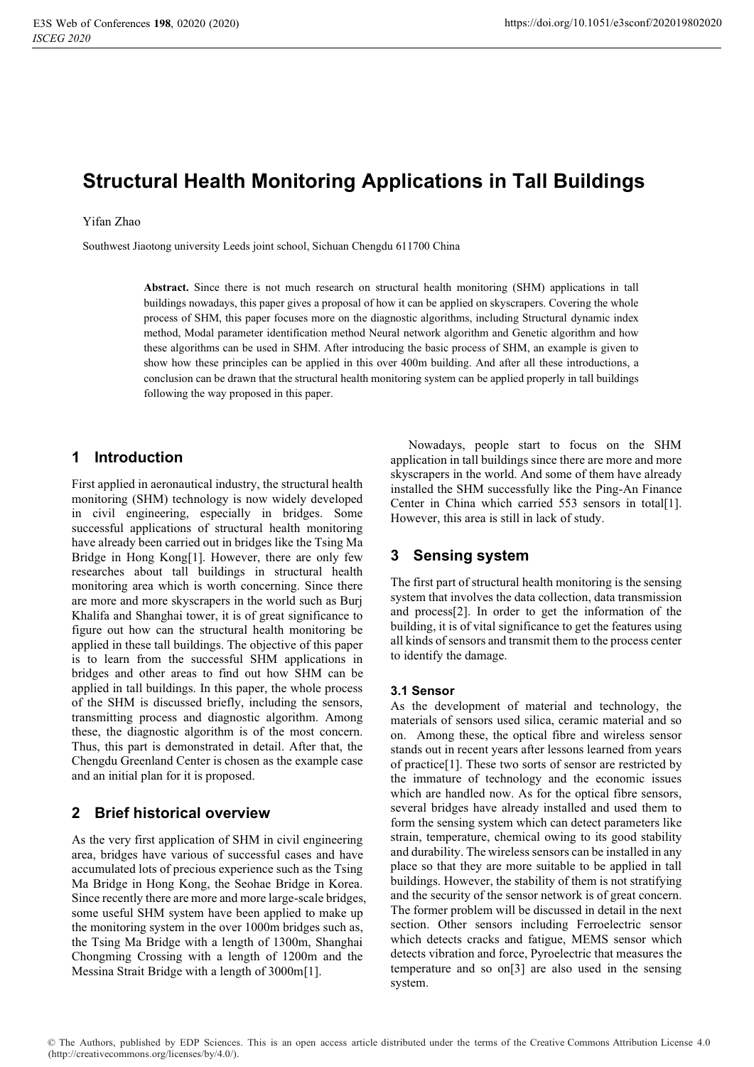# **Structural Health Monitoring Applications in Tall Buildings**

#### Yifan Zhao

Southwest Jiaotong university Leeds joint school, Sichuan Chengdu 611700 China

**Abstract.** Since there is not much research on structural health monitoring (SHM) applications in tall buildings nowadays, this paper gives a proposal of how it can be applied on skyscrapers. Covering the whole process of SHM, this paper focuses more on the diagnostic algorithms, including Structural dynamic index method, Modal parameter identification method Neural network algorithm and Genetic algorithm and how these algorithms can be used in SHM. After introducing the basic process of SHM, an example is given to show how these principles can be applied in this over 400m building. And after all these introductions, a conclusion can be drawn that the structural health monitoring system can be applied properly in tall buildings following the way proposed in this paper.

## **1 Introduction**

First applied in aeronautical industry, the structural health monitoring (SHM) technology is now widely developed in civil engineering, especially in bridges. Some successful applications of structural health monitoring have already been carried out in bridges like the Tsing Ma Bridge in Hong Kong[1]. However, there are only few researches about tall buildings in structural health monitoring area which is worth concerning. Since there are more and more skyscrapers in the world such as Burj Khalifa and Shanghai tower, it is of great significance to figure out how can the structural health monitoring be applied in these tall buildings. The objective of this paper is to learn from the successful SHM applications in bridges and other areas to find out how SHM can be applied in tall buildings. In this paper, the whole process of the SHM is discussed briefly, including the sensors, transmitting process and diagnostic algorithm. Among these, the diagnostic algorithm is of the most concern. Thus, this part is demonstrated in detail. After that, the Chengdu Greenland Center is chosen as the example case and an initial plan for it is proposed.

## **2 Brief historical overview**

As the very first application of SHM in civil engineering area, bridges have various of successful cases and have accumulated lots of precious experience such as the Tsing Ma Bridge in Hong Kong, the Seohae Bridge in Korea. Since recently there are more and more large-scale bridges, some useful SHM system have been applied to make up the monitoring system in the over 1000m bridges such as, the Tsing Ma Bridge with a length of 1300m, Shanghai Chongming Crossing with a length of 1200m and the Messina Strait Bridge with a length of 3000m[1].

Nowadays, people start to focus on the SHM application in tall buildings since there are more and more skyscrapers in the world. And some of them have already installed the SHM successfully like the Ping-An Finance Center in China which carried 553 sensors in total[1]. However, this area is still in lack of study.

## **3 Sensing system**

The first part of structural health monitoring is the sensing system that involves the data collection, data transmission and process[2]. In order to get the information of the building, it is of vital significance to get the features using all kinds of sensors and transmit them to the process center to identify the damage.

### **3.1 Sensor**

As the development of material and technology, the materials of sensors used silica, ceramic material and so on. Among these, the optical fibre and wireless sensor stands out in recent years after lessons learned from years of practice[1]. These two sorts of sensor are restricted by the immature of technology and the economic issues which are handled now. As for the optical fibre sensors, several bridges have already installed and used them to form the sensing system which can detect parameters like strain, temperature, chemical owing to its good stability and durability. The wireless sensors can be installed in any place so that they are more suitable to be applied in tall buildings. However, the stability of them is not stratifying and the security of the sensor network is of great concern. The former problem will be discussed in detail in the next section. Other sensors including Ferroelectric sensor which detects cracks and fatigue, MEMS sensor which detects vibration and force, Pyroelectric that measures the temperature and so on[3] are also used in the sensing system.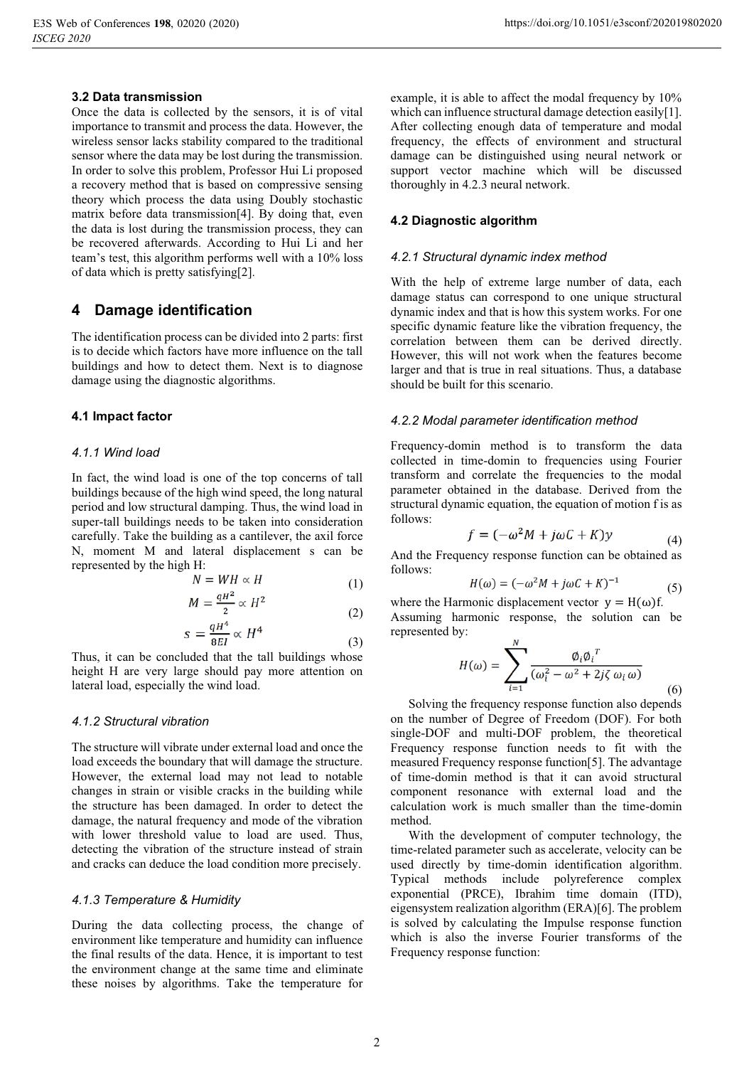### **3.2 Data transmission**

Once the data is collected by the sensors, it is of vital importance to transmit and process the data. However, the wireless sensor lacks stability compared to the traditional sensor where the data may be lost during the transmission. In order to solve this problem, Professor Hui Li proposed a recovery method that is based on compressive sensing theory which process the data using Doubly stochastic matrix before data transmission[4]. By doing that, even the data is lost during the transmission process, they can be recovered afterwards. According to Hui Li and her team's test, this algorithm performs well with a 10% loss of data which is pretty satisfying[2].

## **4 Damage identification**

The identification process can be divided into 2 parts: first is to decide which factors have more influence on the tall buildings and how to detect them. Next is to diagnose damage using the diagnostic algorithms.

### **4.1 Impact factor**

#### *4.1.1 Wind load*

In fact, the wind load is one of the top concerns of tall buildings because of the high wind speed, the long natural period and low structural damping. Thus, the wind load in super-tall buildings needs to be taken into consideration carefully. Take the building as a cantilever, the axil force N, moment M and lateral displacement s can be represented by the high H:

$$
N = WH \propto H \tag{1}
$$

$$
M = \frac{qH^2}{2} \propto H^2 \tag{2}
$$

$$
s = \frac{qH^4}{8EI} \propto H^4 \tag{3}
$$

 $BEI$  (3)<br>Thus, it can be concluded that the tall buildings whose height H are very large should pay more attention on lateral load, especially the wind load.

#### *4.1.2 Structural vibration*

The structure will vibrate under external load and once the load exceeds the boundary that will damage the structure. However, the external load may not lead to notable changes in strain or visible cracks in the building while the structure has been damaged. In order to detect the damage, the natural frequency and mode of the vibration with lower threshold value to load are used. Thus, detecting the vibration of the structure instead of strain and cracks can deduce the load condition more precisely.

## *4.1.3 Temperature & Humidity*

During the data collecting process, the change of environment like temperature and humidity can influence the final results of the data. Hence, it is important to test the environment change at the same time and eliminate these noises by algorithms. Take the temperature for example, it is able to affect the modal frequency by 10% which can influence structural damage detection easily[1]. After collecting enough data of temperature and modal frequency, the effects of environment and structural damage can be distinguished using neural network or support vector machine which will be discussed thoroughly in 4.2.3 neural network.

## **4.2 Diagnostic algorithm**

#### *4.2.1 Structural dynamic index method*

With the help of extreme large number of data, each damage status can correspond to one unique structural dynamic index and that is how this system works. For one specific dynamic feature like the vibration frequency, the correlation between them can be derived directly. However, this will not work when the features become larger and that is true in real situations. Thus, a database should be built for this scenario.

#### *4.2.2 Modal parameter identification method*

Frequency-domin method is to transform the data collected in time-domin to frequencies using Fourier transform and correlate the frequencies to the modal parameter obtained in the database. Derived from the structural dynamic equation, the equation of motion f is as follows:

$$
f = (-\omega^2 M + j\omega C + K)y \tag{4}
$$

And the Frequency response function can be obtained as follows:

$$
H(\omega) = (-\omega^2 M + j\omega C + K)^{-1}
$$
 (5)

where the Harmonic displacement vector  $y = H(\omega) f$ . Assuming harmonic response, the solution can be represented by:

$$
H(\omega) = \sum_{i=1}^{N} \frac{\varphi_i \varphi_i^T}{(\omega_i^2 - \omega^2 + 2j\zeta \omega_i \omega)}
$$
(6)

Solving the frequency response function also depends on the number of Degree of Freedom (DOF). For both single-DOF and multi-DOF problem, the theoretical Frequency response function needs to fit with the measured Frequency response function[5]. The advantage of time-domin method is that it can avoid structural component resonance with external load and the calculation work is much smaller than the time-domin method.

With the development of computer technology, the time-related parameter such as accelerate, velocity can be used directly by time-domin identification algorithm. Typical methods include polyreference complex exponential (PRCE), Ibrahim time domain (ITD), eigensystem realization algorithm (ERA)[6]. The problem is solved by calculating the Impulse response function which is also the inverse Fourier transforms of the Frequency response function: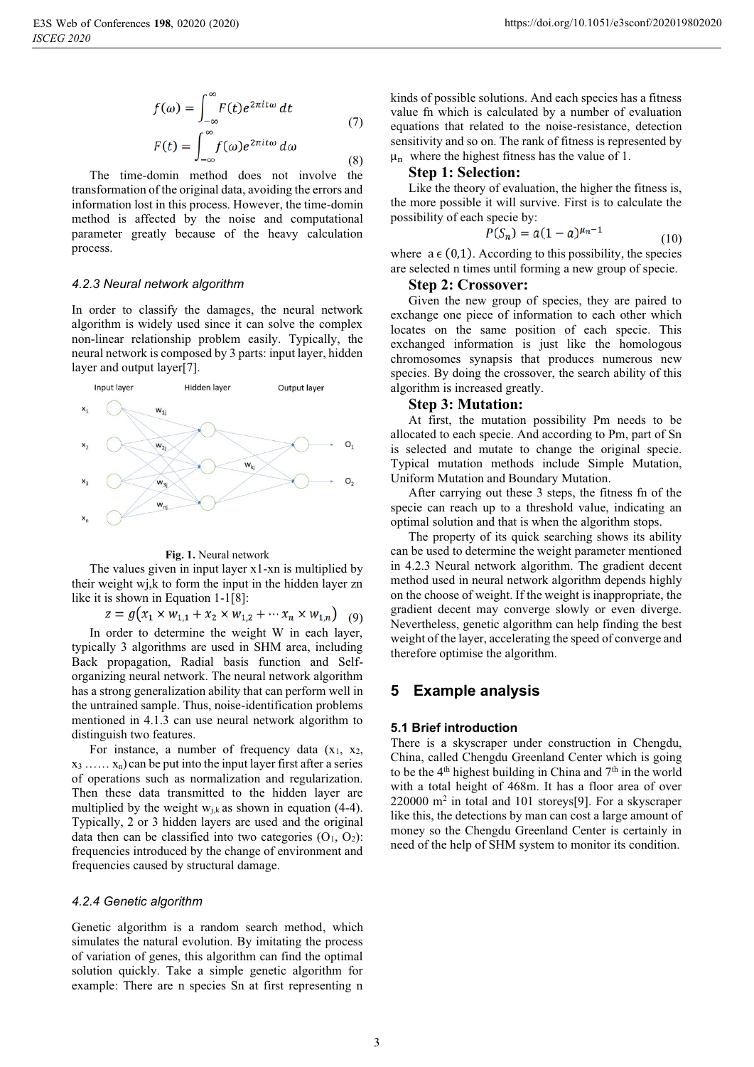$$
f(\omega) = \int_{-\infty}^{\infty} F(t)e^{2\pi it\omega} dt
$$
  
(7)  

$$
F(t) = \int_{-\infty}^{\infty} f(\omega)e^{2\pi it\omega} d\omega
$$
  
(8)

The time-domin method does not involve the transformation of the original data, avoiding the errors and information lost in this process. However, the time-domin method is affected by the noise and computational parameter greatly because of the heavy calculation process.

#### *4.2.3 Neural network algorithm*

In order to classify the damages, the neural network algorithm is widely used since it can solve the complex non-linear relationship problem easily. Typically, the neural network is composed by 3 parts: input layer, hidden layer and output layer[7].



#### **Fig. 1.** Neural network

The values given in input layer x1-xn is multiplied by their weight wj,k to form the input in the hidden layer zn like it is shown in Equation 1-1[8]:

 $z = g(x_1 \times w_{1,1} + x_2 \times w_{1,2} + \cdots x_n \times w_{1,n})$  (9)

In order to determine the weight W in each layer, typically 3 algorithms are used in SHM area, including Back propagation, Radial basis function and Selforganizing neural network. The neural network algorithm has a strong generalization ability that can perform well in the untrained sample. Thus, noise-identification problems mentioned in 4.1.3 can use neural network algorithm to distinguish two features.

For instance, a number of frequency data  $(x_1, x_2, ...)$  $x_3$  ......  $x_n$ ) can be put into the input layer first after a series of operations such as normalization and regularization. Then these data transmitted to the hidden layer are multiplied by the weight  $w_{j,k}$  as shown in equation (4-4). Typically, 2 or 3 hidden layers are used and the original data then can be classified into two categories  $(O_1, O_2)$ : frequencies introduced by the change of environment and frequencies caused by structural damage.

#### *4.2.4 Genetic algorithm*

Genetic algorithm is a random search method, which simulates the natural evolution. By imitating the process of variation of genes, this algorithm can find the optimal solution quickly. Take a simple genetic algorithm for example: There are n species Sn at first representing n kinds of possible solutions. And each species has a fitness value fn which is calculated by a number of evaluation equations that related to the noise-resistance, detection sensitivity and so on. The rank of fitness is represented by  $\mu_n$  where the highest fitness has the value of 1.

Like the theory of evaluation, the higher the fitness is, the more possible it will survive. First is to calculate the possibility of each specie by:

$$
P(S_n) = a(1-a)^{\mu_n - 1}
$$
 (10)

where  $a \in (0,1)$ . According to this possibility, the species are selected n times until forming a new group of specie.

Given the new group of species, they are paired to exchange one piece of information to each other which locates on the same position of each specie. This exchanged information is just like the homologous chromosomes synapsis that produces numerous new species. By doing the crossover, the search ability of this algorithm is increased greatly.

At first, the mutation possibility Pm needs to be allocated to each specie. And according to Pm, part of Sn is selected and mutate to change the original specie. Typical mutation methods include Simple Mutation, Uniform Mutation and Boundary Mutation.

After carrying out these 3 steps, the fitness fn of the specie can reach up to a threshold value, indicating an optimal solution and that is when the algorithm stops.

The property of its quick searching shows its ability can be used to determine the weight parameter mentioned in 4.2.3 Neural network algorithm. The gradient decent method used in neural network algorithm depends highly on the choose of weight. If the weight is inappropriate, the gradient decent may converge slowly or even diverge. Nevertheless, genetic algorithm can help finding the best weight of the layer, accelerating the speed of converge and therefore optimise the algorithm.

## **5 Example analysis**

#### **5.1 Brief introduction**

There is a skyscraper under construction in Chengdu, China, called Chengdu Greenland Center which is going to be the  $4<sup>th</sup>$  highest building in China and  $7<sup>th</sup>$  in the world with a total height of 468m. It has a floor area of over 220000 m2 in total and 101 storeys[9]. For a skyscraper like this, the detections by man can cost a large amount of money so the Chengdu Greenland Center is certainly in need of the help of SHM system to monitor its condition.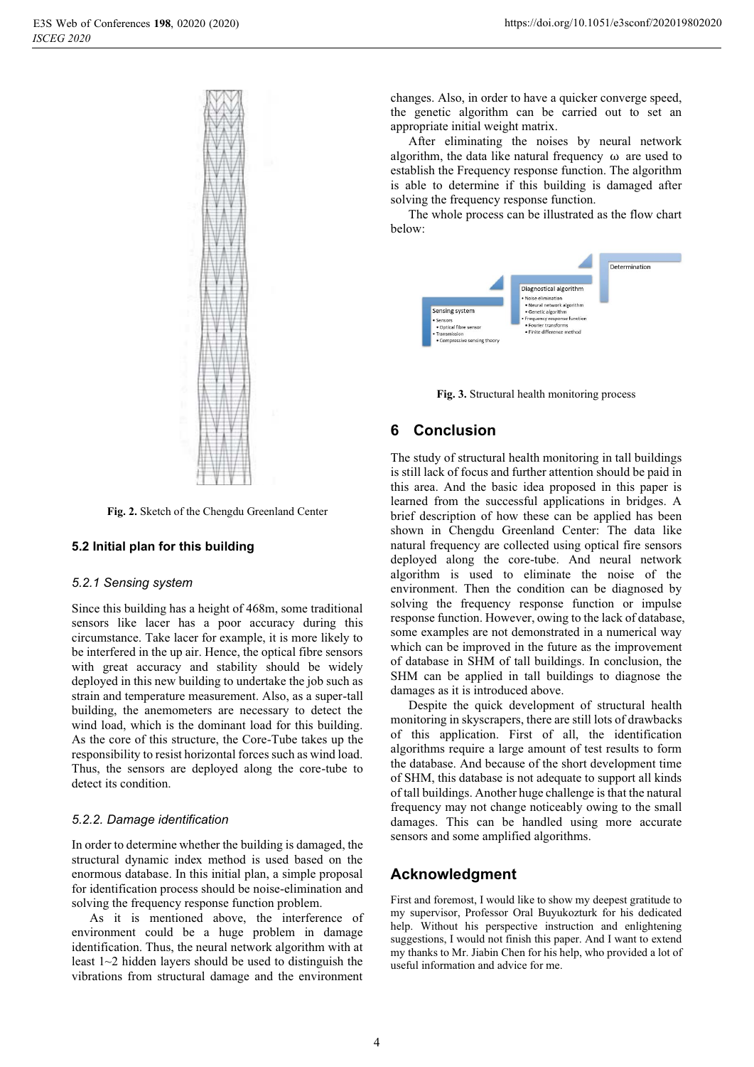

**Fig. 2.** Sketch of the Chengdu Greenland Center

## **5.2 Initial plan for this building**

#### *5.2.1 Sensing system*

Since this building has a height of 468m, some traditional sensors like lacer has a poor accuracy during this circumstance. Take lacer for example, it is more likely to be interfered in the up air. Hence, the optical fibre sensors with great accuracy and stability should be widely deployed in this new building to undertake the job such as strain and temperature measurement. Also, as a super-tall building, the anemometers are necessary to detect the wind load, which is the dominant load for this building. As the core of this structure, the Core-Tube takes up the responsibility to resist horizontal forces such as wind load. Thus, the sensors are deployed along the core-tube to detect its condition.

### *5.2.2. Damage identification*

In order to determine whether the building is damaged, the structural dynamic index method is used based on the enormous database. In this initial plan, a simple proposal for identification process should be noise-elimination and solving the frequency response function problem.

As it is mentioned above, the interference of environment could be a huge problem in damage identification. Thus, the neural network algorithm with at least 1~2 hidden layers should be used to distinguish the vibrations from structural damage and the environment

changes. Also, in order to have a quicker converge speed, the genetic algorithm can be carried out to set an appropriate initial weight matrix.

After eliminating the noises by neural network algorithm, the data like natural frequency  $\omega$  are used to establish the Frequency response function. The algorithm is able to determine if this building is damaged after solving the frequency response function.

The whole process can be illustrated as the flow chart below:



**Fig. 3.** Structural health monitoring process

# **6 Conclusion**

The study of structural health monitoring in tall buildings is still lack of focus and further attention should be paid in this area. And the basic idea proposed in this paper is learned from the successful applications in bridges. A brief description of how these can be applied has been shown in Chengdu Greenland Center: The data like natural frequency are collected using optical fire sensors deployed along the core-tube. And neural network algorithm is used to eliminate the noise of the environment. Then the condition can be diagnosed by solving the frequency response function or impulse response function. However, owing to the lack of database, some examples are not demonstrated in a numerical way which can be improved in the future as the improvement of database in SHM of tall buildings. In conclusion, the SHM can be applied in tall buildings to diagnose the damages as it is introduced above.

Despite the quick development of structural health monitoring in skyscrapers, there are still lots of drawbacks of this application. First of all, the identification algorithms require a large amount of test results to form the database. And because of the short development time of SHM, this database is not adequate to support all kinds of tall buildings. Another huge challenge is that the natural frequency may not change noticeably owing to the small damages. This can be handled using more accurate sensors and some amplified algorithms.

## **Acknowledgment**

First and foremost, I would like to show my deepest gratitude to my supervisor, Professor Oral Buyukozturk for his dedicated help. Without his perspective instruction and enlightening suggestions, I would not finish this paper. And I want to extend my thanks to Mr. Jiabin Chen for his help, who provided a lot of useful information and advice for me.